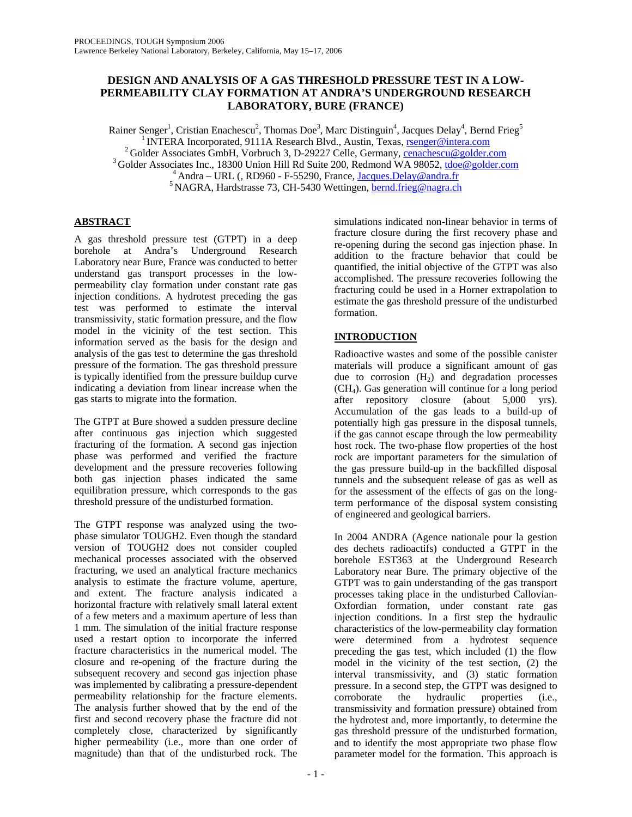# **DESIGN AND ANALYSIS OF A GAS THRESHOLD PRESSURE TEST IN A LOW-PERMEABILITY CLAY FORMATION AT ANDRA'S UNDERGROUND RESEARCH LABORATORY, BURE (FRANCE)**

Rainer Senger<sup>1</sup>, Cristian Enachescu<sup>2</sup>, Thomas Doe<sup>3</sup>, Marc Distinguin<sup>4</sup>, Jacques Delay<sup>4</sup>, Bernd Frieg<sup>5</sup> <sup>1</sup> INTERA Incorporated, 9111A Research Blvd., Austin, Texas, <u>rsenger@intera.com</u><br><sup>2</sup> Golder Associates GmbH, Vorbruch 3, D-29227 Celle, Germany, <u>cenachescu@golder.com</u><br><sup>3</sup> Golder Associates Inc., 18300 Union Hill Rd Su

# **ABSTRACT**

A gas threshold pressure test (GTPT) in a deep borehole at Andra's Underground Research Laboratory near Bure, France was conducted to better understand gas transport processes in the lowpermeability clay formation under constant rate gas injection conditions. A hydrotest preceding the gas test was performed to estimate the interval transmissivity, static formation pressure, and the flow model in the vicinity of the test section. This information served as the basis for the design and analysis of the gas test to determine the gas threshold pressure of the formation. The gas threshold pressure is typically identified from the pressure buildup curve indicating a deviation from linear increase when the gas starts to migrate into the formation.

The GTPT at Bure showed a sudden pressure decline after continuous gas injection which suggested fracturing of the formation. A second gas injection phase was performed and verified the fracture development and the pressure recoveries following both gas injection phases indicated the same equilibration pressure, which corresponds to the gas threshold pressure of the undisturbed formation.

The GTPT response was analyzed using the twophase simulator TOUGH2. Even though the standard version of TOUGH2 does not consider coupled mechanical processes associated with the observed fracturing, we used an analytical fracture mechanics analysis to estimate the fracture volume, aperture, and extent. The fracture analysis indicated a horizontal fracture with relatively small lateral extent of a few meters and a maximum aperture of less than 1 mm. The simulation of the initial fracture response used a restart option to incorporate the inferred fracture characteristics in the numerical model. The closure and re-opening of the fracture during the subsequent recovery and second gas injection phase was implemented by calibrating a pressure-dependent permeability relationship for the fracture elements. The analysis further showed that by the end of the first and second recovery phase the fracture did not completely close, characterized by significantly higher permeability (i.e., more than one order of magnitude) than that of the undisturbed rock. The

simulations indicated non-linear behavior in terms of fracture closure during the first recovery phase and re-opening during the second gas injection phase. In addition to the fracture behavior that could be quantified, the initial objective of the GTPT was also accomplished. The pressure recoveries following the fracturing could be used in a Horner extrapolation to estimate the gas threshold pressure of the undisturbed formation.

# **INTRODUCTION**

Radioactive wastes and some of the possible canister materials will produce a significant amount of gas due to corrosion  $(H<sub>2</sub>)$  and degradation processes (CH4). Gas generation will continue for a long period after repository closure (about 5,000 yrs). Accumulation of the gas leads to a build-up of potentially high gas pressure in the disposal tunnels, if the gas cannot escape through the low permeability host rock. The two-phase flow properties of the host rock are important parameters for the simulation of the gas pressure build-up in the backfilled disposal tunnels and the subsequent release of gas as well as for the assessment of the effects of gas on the longterm performance of the disposal system consisting of engineered and geological barriers.

In 2004 ANDRA (Agence nationale pour la gestion des dechets radioactifs) conducted a GTPT in the borehole EST363 at the Underground Research Laboratory near Bure. The primary objective of the GTPT was to gain understanding of the gas transport processes taking place in the undisturbed Callovian-Oxfordian formation, under constant rate gas injection conditions. In a first step the hydraulic characteristics of the low-permeability clay formation were determined from a hydrotest sequence preceding the gas test, which included (1) the flow model in the vicinity of the test section, (2) the interval transmissivity, and (3) static formation pressure. In a second step, the GTPT was designed to corroborate the hydraulic properties (i.e., transmissivity and formation pressure) obtained from the hydrotest and, more importantly, to determine the gas threshold pressure of the undisturbed formation, and to identify the most appropriate two phase flow parameter model for the formation. This approach is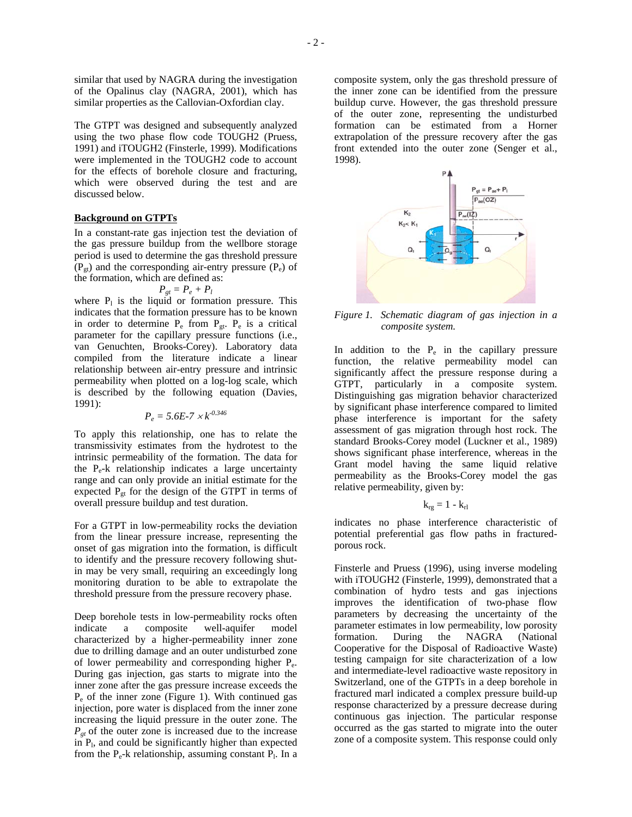similar that used by NAGRA during the investigation of the Opalinus clay (NAGRA, 2001), which has similar properties as the Callovian-Oxfordian clay.

The GTPT was designed and subsequently analyzed using the two phase flow code TOUGH2 (Pruess, 1991) and iTOUGH2 (Finsterle, 1999). Modifications were implemented in the TOUGH2 code to account for the effects of borehole closure and fracturing, which were observed during the test and are discussed below.

### **Background on GTPTs**

In a constant-rate gas injection test the deviation of the gas pressure buildup from the wellbore storage period is used to determine the gas threshold pressure  $(P_{gt})$  and the corresponding air-entry pressure  $(P_e)$  of the formation, which are defined as:

$$
P_{gt}=P_e+P_l
$$

where  $P_1$  is the liquid or formation pressure. This indicates that the formation pressure has to be known in order to determine  $P_e$  from  $P_{gt}$ .  $P_e$  is a critical parameter for the capillary pressure functions (i.e., van Genuchten, Brooks-Corey). Laboratory data compiled from the literature indicate a linear relationship between air-entry pressure and intrinsic permeability when plotted on a log-log scale, which is described by the following equation (Davies, 1991):

$$
P_e = 5.6E - 7 \times k^{0.346}
$$

To apply this relationship, one has to relate the transmissivity estimates from the hydrotest to the intrinsic permeability of the formation. The data for the  $P_{e}$ -k relationship indicates a large uncertainty range and can only provide an initial estimate for the expected  $P_{gt}$  for the design of the GTPT in terms of overall pressure buildup and test duration.

For a GTPT in low-permeability rocks the deviation from the linear pressure increase, representing the onset of gas migration into the formation, is difficult to identify and the pressure recovery following shutin may be very small, requiring an exceedingly long monitoring duration to be able to extrapolate the threshold pressure from the pressure recovery phase.

Deep borehole tests in low-permeability rocks often indicate a composite well-aquifer model characterized by a higher-permeability inner zone due to drilling damage and an outer undisturbed zone of lower permeability and corresponding higher Pe. During gas injection, gas starts to migrate into the inner zone after the gas pressure increase exceeds the  $P_e$  of the inner zone (Figure 1). With continued gas injection, pore water is displaced from the inner zone increasing the liquid pressure in the outer zone. The  $P_{gt}$  of the outer zone is increased due to the increase in  $P<sub>l</sub>$ , and could be significantly higher than expected from the  $P_e$ -k relationship, assuming constant  $P_1$ . In a

composite system, only the gas threshold pressure of the inner zone can be identified from the pressure buildup curve. However, the gas threshold pressure of the outer zone, representing the undisturbed formation can be estimated from a Horner extrapolation of the pressure recovery after the gas front extended into the outer zone (Senger et al., 1998).



*Figure 1. Schematic diagram of gas injection in a composite system.* 

In addition to the  $P_e$  in the capillary pressure function, the relative permeability model can significantly affect the pressure response during a GTPT, particularly in a composite system. Distinguishing gas migration behavior characterized by significant phase interference compared to limited phase interference is important for the safety assessment of gas migration through host rock. The standard Brooks-Corey model (Luckner et al., 1989) shows significant phase interference, whereas in the Grant model having the same liquid relative permeability as the Brooks-Corey model the gas relative permeability, given by:

$$
k_{rg}=1-k_{rl}\,
$$

indicates no phase interference characteristic of potential preferential gas flow paths in fracturedporous rock.

Finsterle and Pruess (1996), using inverse modeling with iTOUGH2 (Finsterle, 1999), demonstrated that a combination of hydro tests and gas injections improves the identification of two-phase flow parameters by decreasing the uncertainty of the parameter estimates in low permeability, low porosity formation. During the NAGRA (National Cooperative for the Disposal of Radioactive Waste) testing campaign for site characterization of a low and intermediate-level radioactive waste repository in Switzerland, one of the GTPTs in a deep borehole in fractured marl indicated a complex pressure build-up response characterized by a pressure decrease during continuous gas injection. The particular response occurred as the gas started to migrate into the outer zone of a composite system. This response could only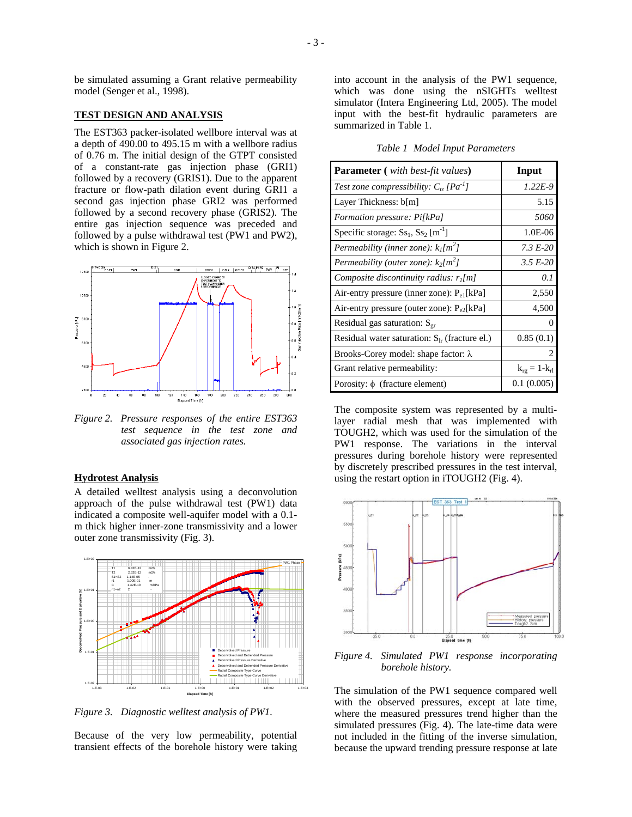be simulated assuming a Grant relative permeability model (Senger et al., 1998).

#### **TEST DESIGN AND ANALYSIS**

The EST363 packer-isolated wellbore interval was at a depth of 490.00 to 495.15 m with a wellbore radius of 0.76 m. The initial design of the GTPT consisted of a constant-rate gas injection phase (GRI1) followed by a recovery (GRIS1). Due to the apparent fracture or flow-path dilation event during GRI1 a second gas injection phase GRI2 was performed followed by a second recovery phase (GRIS2). The entire gas injection sequence was preceded and followed by a pulse withdrawal test (PW1 and PW2), which is shown in Figure 2.



*Figure 2. Pressure responses of the entire EST363 test sequence in the test zone and associated gas injection rates.* 

#### **Hydrotest Analysis**

A detailed welltest analysis using a deconvolution approach of the pulse withdrawal test (PW1) data indicated a composite well-aquifer model with a 0.1 m thick higher inner-zone transmissivity and a lower outer zone transmissivity (Fig. 3).



*Figure 3. Diagnostic welltest analysis of PW1.* 

Because of the very low permeability, potential transient effects of the borehole history were taking into account in the analysis of the PW1 sequence, which was done using the nSIGHTs welltest simulator (Intera Engineering Ltd, 2005). The model input with the best-fit hydraulic parameters are summarized in Table 1.

|  |  |  | Table 1 Model Input Parameters |
|--|--|--|--------------------------------|
|--|--|--|--------------------------------|

| <b>Parameter</b> ( <i>with best-fit values</i> )           | Input               |
|------------------------------------------------------------|---------------------|
| Test zone compressibility: $C_{tr}$ [Pa <sup>-1</sup> ]    | $1.22E-9$           |
| Layer Thickness: b[m]                                      | 5.15                |
| Formation pressure: Pi[kPa]                                | 5060                |
| Specific storage: $S_{s_1}$ , $S_{s_2}$ [m <sup>-1</sup> ] | 1.0E-06             |
| Permeability (inner zone): $k_l[m^2]$                      | 7.3 E-20            |
| Permeability (outer zone): $k_2[m^2]$                      | $3.5 E-20$          |
| Composite discontinuity radius: $r_l[m]$                   | 0. 1                |
| Air-entry pressure (inner zone): $P_{e1}$ [kPa]            | 2,550               |
| Air-entry pressure (outer zone): $P_{e2}$ [kPa]            | 4,500               |
| Residual gas saturation: $S_{\text{gr}}$                   | 0                   |
| Residual water saturation: $S_{1r}$ (fracture el.)         | 0.85(0.1)           |
| Brooks-Corey model: shape factor: $\lambda$                | 2                   |
| Grant relative permeability:                               | $k_{rg} = 1-k_{rl}$ |
| Porosity: $\phi$ (fracture element)                        | 0.1(0.005)          |

The composite system was represented by a multilayer radial mesh that was implemented with TOUGH2, which was used for the simulation of the PW1 response. The variations in the interval pressures during borehole history were represented by discretely prescribed pressures in the test interval, using the restart option in iTOUGH2 (Fig. 4).



*Figure 4. Simulated PW1 response incorporating borehole history.* 

The simulation of the PW1 sequence compared well with the observed pressures, except at late time, where the measured pressures trend higher than the simulated pressures (Fig. 4). The late-time data were not included in the fitting of the inverse simulation, because the upward trending pressure response at late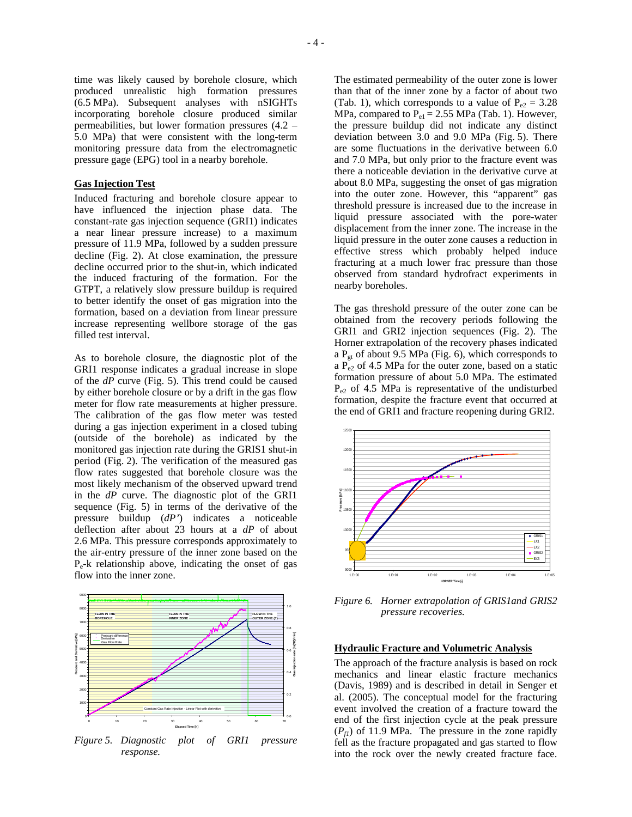time was likely caused by borehole closure, which produced unrealistic high formation pressures (6.5 MPa). Subsequent analyses with nSIGHTs incorporating borehole closure produced similar permeabilities, but lower formation pressures (4.2 – 5.0 MPa) that were consistent with the long-term monitoring pressure data from the electromagnetic pressure gage (EPG) tool in a nearby borehole.

### **Gas Injection Test**

Induced fracturing and borehole closure appear to have influenced the injection phase data. The constant-rate gas injection sequence (GRI1) indicates a near linear pressure increase) to a maximum pressure of 11.9 MPa, followed by a sudden pressure decline (Fig. 2). At close examination, the pressure decline occurred prior to the shut-in, which indicated the induced fracturing of the formation. For the GTPT, a relatively slow pressure buildup is required to better identify the onset of gas migration into the formation, based on a deviation from linear pressure increase representing wellbore storage of the gas filled test interval.

As to borehole closure, the diagnostic plot of the GRI1 response indicates a gradual increase in slope of the *dP* curve (Fig. 5). This trend could be caused by either borehole closure or by a drift in the gas flow meter for flow rate measurements at higher pressure. The calibration of the gas flow meter was tested during a gas injection experiment in a closed tubing (outside of the borehole) as indicated by the monitored gas injection rate during the GRIS1 shut-in period (Fig. 2). The verification of the measured gas flow rates suggested that borehole closure was the most likely mechanism of the observed upward trend in the *dP* curve. The diagnostic plot of the GRI1 sequence (Fig. 5) in terms of the derivative of the pressure buildup (*dP'*) indicates a noticeable deflection after about 23 hours at a *dP* of about 2.6 MPa. This pressure corresponds approximately to the air-entry pressure of the inner zone based on the Pe-k relationship above, indicating the onset of gas flow into the inner zone.



*Figure 5. Diagnostic plot of GRI1 pressure response.* 

The estimated permeability of the outer zone is lower than that of the inner zone by a factor of about two (Tab. 1), which corresponds to a value of  $P_{e2} = 3.28$ MPa, compared to  $P_{el} = 2.55$  MPa (Tab. 1). However, the pressure buildup did not indicate any distinct deviation between 3.0 and 9.0 MPa (Fig. 5). There are some fluctuations in the derivative between 6.0 and 7.0 MPa, but only prior to the fracture event was there a noticeable deviation in the derivative curve at about 8.0 MPa, suggesting the onset of gas migration into the outer zone. However, this "apparent" gas threshold pressure is increased due to the increase in liquid pressure associated with the pore-water displacement from the inner zone. The increase in the liquid pressure in the outer zone causes a reduction in effective stress which probably helped induce fracturing at a much lower frac pressure than those observed from standard hydrofract experiments in nearby boreholes.

The gas threshold pressure of the outer zone can be obtained from the recovery periods following the GRI1 and GRI2 injection sequences (Fig. 2). The Horner extrapolation of the recovery phases indicated a  $P_{gt}$  of about 9.5 MPa (Fig. 6), which corresponds to a  $P_{e2}$  of 4.5 MPa for the outer zone, based on a static formation pressure of about 5.0 MPa. The estimated  $P_{e2}$  of 4.5 MPa is representative of the undisturbed formation, despite the fracture event that occurred at the end of GRI1 and fracture reopening during GRI2.



*Figure 6. Horner extrapolation of GRIS1and GRIS2 pressure recoveries.* 

#### **Hydraulic Fracture and Volumetric Analysis**

The approach of the fracture analysis is based on rock mechanics and linear elastic fracture mechanics (Davis, 1989) and is described in detail in Senger et al. (2005). The conceptual model for the fracturing event involved the creation of a fracture toward the end of the first injection cycle at the peak pressure  $(P_f)$  of 11.9 MPa. The pressure in the zone rapidly fell as the fracture propagated and gas started to flow into the rock over the newly created fracture face.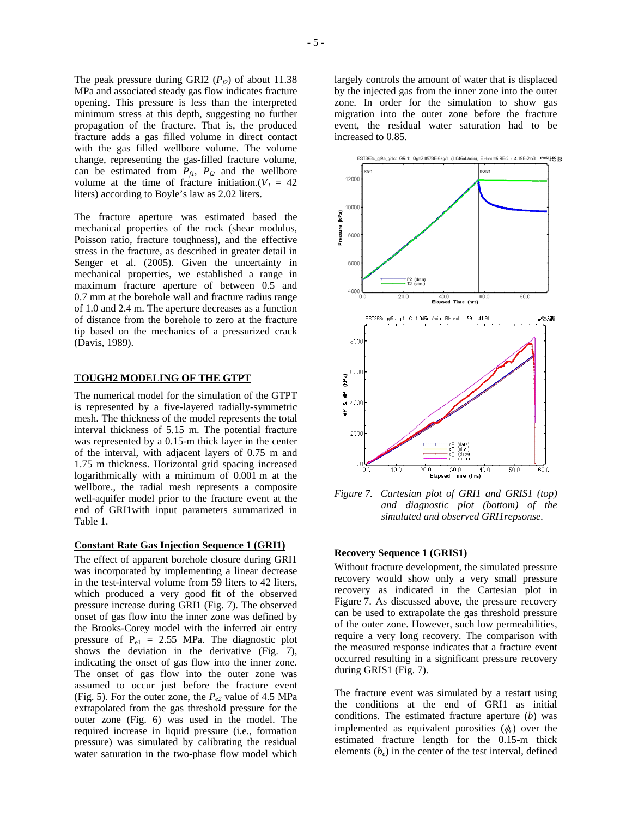The peak pressure during GRI2  $(P_f)$  of about 11.38 MPa and associated steady gas flow indicates fracture opening. This pressure is less than the interpreted minimum stress at this depth, suggesting no further propagation of the fracture. That is, the produced fracture adds a gas filled volume in direct contact with the gas filled wellbore volume. The volume change, representing the gas-filled fracture volume, can be estimated from  $P_{f1}$ ,  $P_{f2}$  and the wellbore volume at the time of fracture initiation.( $V_1 = 42$ liters) according to Boyle's law as 2.02 liters.

The fracture aperture was estimated based the mechanical properties of the rock (shear modulus, Poisson ratio, fracture toughness), and the effective stress in the fracture, as described in greater detail in Senger et al. (2005). Given the uncertainty in mechanical properties, we established a range in maximum fracture aperture of between 0.5 and 0.7 mm at the borehole wall and fracture radius range of 1.0 and 2.4 m. The aperture decreases as a function of distance from the borehole to zero at the fracture tip based on the mechanics of a pressurized crack (Davis, 1989).

#### **TOUGH2 MODELING OF THE GTPT**

The numerical model for the simulation of the GTPT is represented by a five-layered radially-symmetric mesh. The thickness of the model represents the total interval thickness of 5.15 m. The potential fracture was represented by a 0.15-m thick layer in the center of the interval, with adjacent layers of 0.75 m and 1.75 m thickness. Horizontal grid spacing increased logarithmically with a minimum of 0.001 m at the wellbore., the radial mesh represents a composite well-aquifer model prior to the fracture event at the end of GRI1with input parameters summarized in Table 1.

### **Constant Rate Gas Injection Sequence 1 (GRI1)**

The effect of apparent borehole closure during GRI1 was incorporated by implementing a linear decrease in the test-interval volume from 59 liters to 42 liters, which produced a very good fit of the observed pressure increase during GRI1 (Fig. 7). The observed onset of gas flow into the inner zone was defined by the Brooks-Corey model with the inferred air entry pressure of  $P_{e1} = 2.55$  MPa. The diagnostic plot shows the deviation in the derivative (Fig. 7), indicating the onset of gas flow into the inner zone. The onset of gas flow into the outer zone was assumed to occur just before the fracture event (Fig. 5). For the outer zone, the  $P_{e2}$  value of 4.5 MPa extrapolated from the gas threshold pressure for the outer zone (Fig. 6) was used in the model. The required increase in liquid pressure (i.e., formation pressure) was simulated by calibrating the residual water saturation in the two-phase flow model which

largely controls the amount of water that is displaced by the injected gas from the inner zone into the outer zone. In order for the simulation to show gas migration into the outer zone before the fracture event, the residual water saturation had to be increased to 0.85.



*Figure 7. Cartesian plot of GRI1 and GRIS1 (top) and diagnostic plot (bottom) of the simulated and observed GRI1repsonse.* 

#### **Recovery Sequence 1 (GRIS1)**

Without fracture development, the simulated pressure recovery would show only a very small pressure recovery as indicated in the Cartesian plot in Figure 7. As discussed above, the pressure recovery can be used to extrapolate the gas threshold pressure of the outer zone. However, such low permeabilities, require a very long recovery. The comparison with the measured response indicates that a fracture event occurred resulting in a significant pressure recovery during GRIS1 (Fig. 7).

The fracture event was simulated by a restart using the conditions at the end of GRI1 as initial conditions. The estimated fracture aperture (*b*) was implemented as equivalent porosities  $(\phi_e)$  over the estimated fracture length for the 0.15-m thick elements (*be*) in the center of the test interval, defined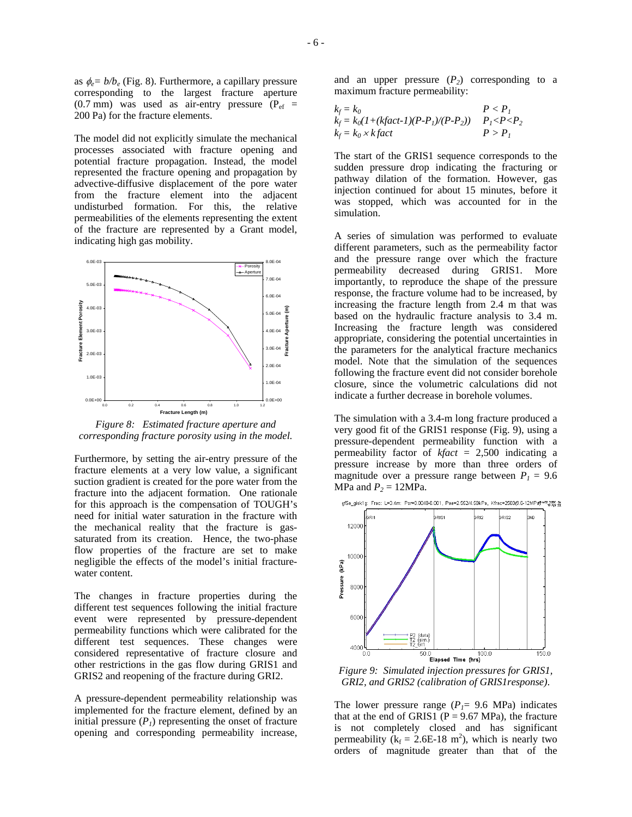as  $\phi_e = b/b_e$  (Fig. 8). Furthermore, a capillary pressure corresponding to the largest fracture aperture  $(0.7 \text{ mm})$  was used as air-entry pressure  $(P_{\text{ef}} =$ 200 Pa) for the fracture elements.

The model did not explicitly simulate the mechanical processes associated with fracture opening and potential fracture propagation. Instead, the model represented the fracture opening and propagation by advective-diffusive displacement of the pore water from the fracture element into the adjacent undisturbed formation. For this, the relative permeabilities of the elements representing the extent of the fracture are represented by a Grant model, indicating high gas mobility.



*Figure 8: Estimated fracture aperture and corresponding fracture porosity using in the model.* 

Furthermore, by setting the air-entry pressure of the fracture elements at a very low value, a significant suction gradient is created for the pore water from the fracture into the adjacent formation. One rationale for this approach is the compensation of TOUGH's need for initial water saturation in the fracture with the mechanical reality that the fracture is gassaturated from its creation. Hence, the two-phase flow properties of the fracture are set to make negligible the effects of the model's initial fracturewater content.

The changes in fracture properties during the different test sequences following the initial fracture event were represented by pressure-dependent permeability functions which were calibrated for the different test sequences. These changes were considered representative of fracture closure and other restrictions in the gas flow during GRIS1 and GRIS2 and reopening of the fracture during GRI2.

A pressure-dependent permeability relationship was implemented for the fracture element, defined by an initial pressure  $(P<sub>1</sub>)$  representing the onset of fracture opening and corresponding permeability increase, and an upper pressure  $(P_2)$  corresponding to a maximum fracture permeability:

$$
k_f = k_0
$$
  
\n
$$
k_f = k_0(1 + (kfact-1)(P - P_1)/(P - P_2))
$$
  
\n
$$
k_f = k_0 \times k fact
$$
  
\n
$$
P > P_1
$$

The start of the GRIS1 sequence corresponds to the sudden pressure drop indicating the fracturing or pathway dilation of the formation. However, gas injection continued for about 15 minutes, before it was stopped, which was accounted for in the simulation.

A series of simulation was performed to evaluate different parameters, such as the permeability factor and the pressure range over which the fracture permeability decreased during GRIS1. More importantly, to reproduce the shape of the pressure response, the fracture volume had to be increased, by increasing the fracture length from 2.4 m that was based on the hydraulic fracture analysis to 3.4 m. Increasing the fracture length was considered appropriate, considering the potential uncertainties in the parameters for the analytical fracture mechanics model. Note that the simulation of the sequences following the fracture event did not consider borehole closure, since the volumetric calculations did not indicate a further decrease in borehole volumes.

The simulation with a 3.4-m long fracture produced a very good fit of the GRIS1 response (Fig. 9), using a pressure-dependent permeability function with a permeability factor of *kfact* = 2,500 indicating a pressure increase by more than three orders of magnitude over a pressure range between  $P_1 = 9.6$ MPa and  $P_2 = 12MPa$ .

gf5a\_gisk1g: Frac: L=3.4m: Por=0.0048-0.001, Pae=2.552/4.50kPa, Kfrac=2500(9.6-12MPa)\*\*\*\* 認証解



*Figure 9: Simulated injection pressures for GRIS1, GRI2, and GRIS2 (calibration of GRIS1response)*.

The lower pressure range  $(P_1 = 9.6 \text{ MPa})$  indicates that at the end of GRIS1 ( $P = 9.67$  MPa), the fracture is not completely closed and has significant permeability  $(k_f = 2.6E-18 \text{ m}^2)$ , which is nearly two orders of magnitude greater than that of the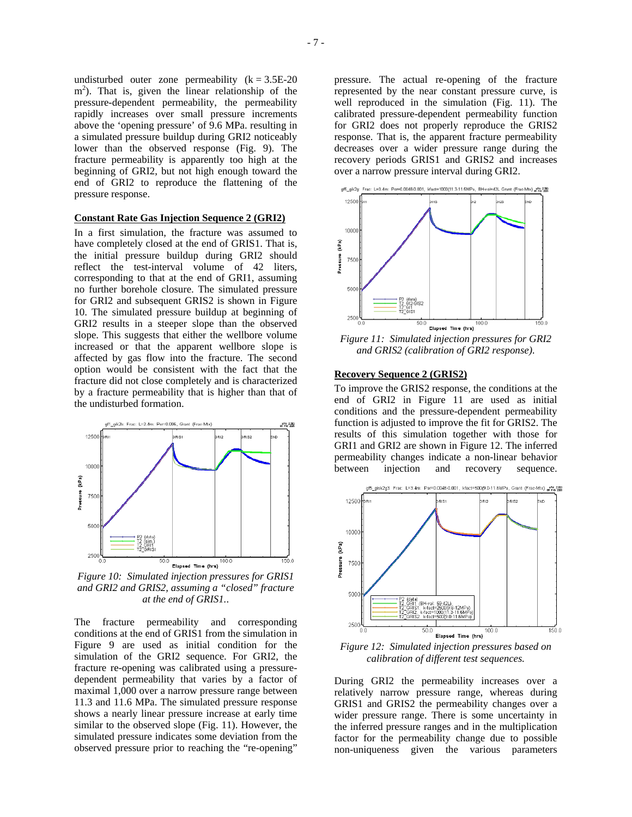undisturbed outer zone permeability  $(k = 3.5E-20)$ m<sup>2</sup>). That is, given the linear relationship of the pressure-dependent permeability, the permeability rapidly increases over small pressure increments above the 'opening pressure' of 9.6 MPa. resulting in a simulated pressure buildup during GRI2 noticeably lower than the observed response (Fig. 9). The fracture permeability is apparently too high at the beginning of GRI2, but not high enough toward the end of GRI2 to reproduce the flattening of the pressure response.

#### **Constant Rate Gas Injection Sequence 2 (GRI2)**

In a first simulation, the fracture was assumed to have completely closed at the end of GRIS1. That is, the initial pressure buildup during GRI2 should reflect the test-interval volume of 42 liters, corresponding to that at the end of GRI1, assuming no further borehole closure. The simulated pressure for GRI2 and subsequent GRIS2 is shown in Figure 10. The simulated pressure buildup at beginning of GRI2 results in a steeper slope than the observed slope. This suggests that either the wellbore volume increased or that the apparent wellbore slope is affected by gas flow into the fracture. The second option would be consistent with the fact that the fracture did not close completely and is characterized by a fracture permeability that is higher than that of the undisturbed formation.



*Figure 10: Simulated injection pressures for GRIS1 and GRI2 and GRIS2, assuming a "closed" fracture at the end of GRIS1.*.

The fracture permeability and corresponding conditions at the end of GRIS1 from the simulation in Figure 9 are used as initial condition for the simulation of the GRI2 sequence. For GRI2, the fracture re-opening was calibrated using a pressuredependent permeability that varies by a factor of maximal 1,000 over a narrow pressure range between 11.3 and 11.6 MPa. The simulated pressure response shows a nearly linear pressure increase at early time similar to the observed slope (Fig. 11). However, the simulated pressure indicates some deviation from the observed pressure prior to reaching the "re-opening"

pressure. The actual re-opening of the fracture represented by the near constant pressure curve, is well reproduced in the simulation (Fig. 11). The calibrated pressure-dependent permeability function for GRI2 does not properly reproduce the GRIS2 response. That is, the apparent fracture permeability decreases over a wider pressure range during the recovery periods GRIS1 and GRIS2 and increases over a narrow pressure interval during GRI2.



*Figure 11: Simulated injection pressures for GRI2 and GRIS2 (calibration of GRI2 response)*.

### **Recovery Sequence 2 (GRIS2)**

To improve the GRIS2 response, the conditions at the end of GRI2 in Figure 11 are used as initial conditions and the pressure-dependent permeability function is adjusted to improve the fit for GRIS2. The results of this simulation together with those for GRI1 and GRI2 are shown in Figure 12. The inferred permeability changes indicate a non-linear behavior between injection and recovery sequence.



*Figure 12: Simulated injection pressures based on calibration of different test sequences.* 

During GRI2 the permeability increases over a relatively narrow pressure range, whereas during GRIS1 and GRIS2 the permeability changes over a wider pressure range. There is some uncertainty in the inferred pressure ranges and in the multiplication factor for the permeability change due to possible non-uniqueness given the various parameters